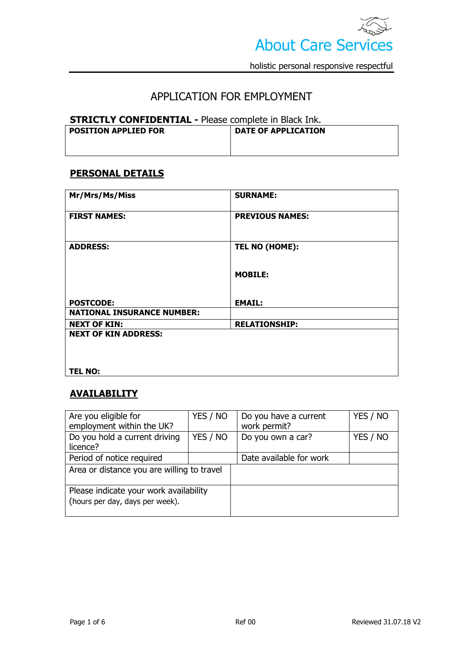

# APPLICATION FOR EMPLOYMENT

#### **STRICTLY CONFIDENTIAL -** Please complete in Black Ink.

| <b>POSITION APPLIED FOR</b> | <b>DATE OF APPLICATION</b> |  |
|-----------------------------|----------------------------|--|
|                             |                            |  |

### **PERSONAL DETAILS**

| Mr/Mrs/Ms/Miss                                        | <b>SURNAME:</b>        |
|-------------------------------------------------------|------------------------|
| <b>FIRST NAMES:</b>                                   | <b>PREVIOUS NAMES:</b> |
| <b>ADDRESS:</b>                                       | TEL NO (HOME):         |
|                                                       | <b>MOBILE:</b>         |
| <b>POSTCODE:</b><br><b>NATIONAL INSURANCE NUMBER:</b> | <b>EMAIL:</b>          |
| <b>NEXT OF KIN:</b>                                   | <b>RELATIONSHIP:</b>   |
| <b>NEXT OF KIN ADDRESS:</b>                           |                        |
| <b>TEL NO:</b>                                        |                        |

# **AVAILABILITY**

| Are you eligible for                       | YES / NO | Do you have a current   | YES / NO |
|--------------------------------------------|----------|-------------------------|----------|
| employment within the UK?                  |          | work permit?            |          |
| Do you hold a current driving              | YES / NO | Do you own a car?       | YES / NO |
| licence?                                   |          |                         |          |
| Period of notice required                  |          | Date available for work |          |
| Area or distance you are willing to travel |          |                         |          |
|                                            |          |                         |          |
| Please indicate your work availability     |          |                         |          |
| (hours per day, days per week).            |          |                         |          |
|                                            |          |                         |          |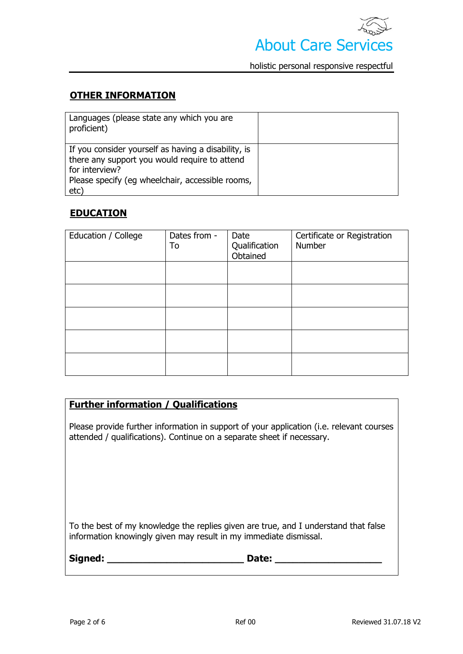

## **OTHER INFORMATION**

| Languages (please state any which you are<br>proficient)                                                                                                                           |  |
|------------------------------------------------------------------------------------------------------------------------------------------------------------------------------------|--|
| If you consider yourself as having a disability, is<br>there any support you would require to attend<br>for interview?<br>Please specify (eg wheelchair, accessible rooms,<br>etc) |  |

## **EDUCATION**

| Education / College | Dates from -<br>To | Date<br>Qualification<br>Obtained | Certificate or Registration<br>Number |
|---------------------|--------------------|-----------------------------------|---------------------------------------|
|                     |                    |                                   |                                       |
|                     |                    |                                   |                                       |
|                     |                    |                                   |                                       |
|                     |                    |                                   |                                       |
|                     |                    |                                   |                                       |

## **Further information / Qualifications**

Please provide further information in support of your application (i.e. relevant courses attended / qualifications). Continue on a separate sheet if necessary.

To the best of my knowledge the replies given are true, and I understand that false information knowingly given may result in my immediate dismissal.

| Signed: | Date: |
|---------|-------|
|         |       |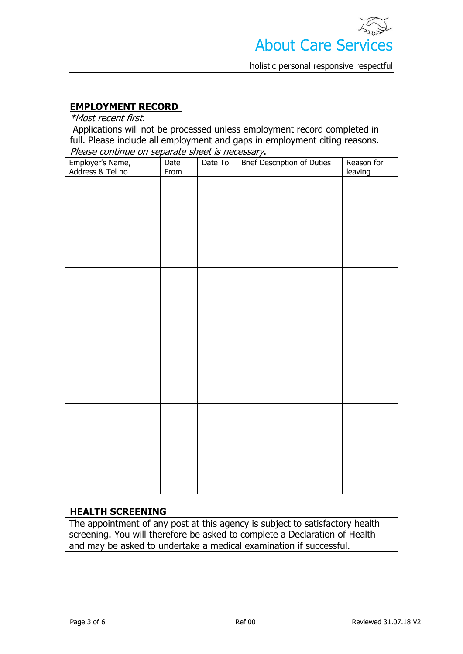

### **EMPLOYMENT RECORD**

\*Most recent first.

Applications will not be processed unless employment record completed in full. Please include all employment and gaps in employment citing reasons. Please continue on separate sheet is necessary.

| Employer's Name,<br>Address & Tel no | From | Employer's Name, Date Date To Brief Description of Duties | Reason for<br>leaving |
|--------------------------------------|------|-----------------------------------------------------------|-----------------------|
|                                      |      |                                                           |                       |
|                                      |      |                                                           |                       |
|                                      |      |                                                           |                       |
|                                      |      |                                                           |                       |
|                                      |      |                                                           |                       |
|                                      |      |                                                           |                       |
|                                      |      |                                                           |                       |
|                                      |      |                                                           |                       |
|                                      |      |                                                           |                       |
|                                      |      |                                                           |                       |
|                                      |      |                                                           |                       |
|                                      |      |                                                           |                       |
|                                      |      |                                                           |                       |
|                                      |      |                                                           |                       |
|                                      |      |                                                           |                       |
|                                      |      |                                                           |                       |
|                                      |      |                                                           |                       |
|                                      |      |                                                           |                       |

#### **HEALTH SCREENING**

The appointment of any post at this agency is subject to satisfactory health screening. You will therefore be asked to complete a Declaration of Health and may be asked to undertake a medical examination if successful.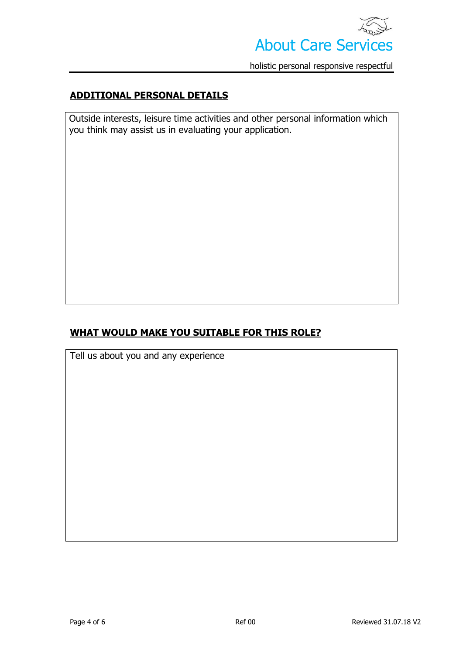

## **ADDITIONAL PERSONAL DETAILS**

Outside interests, leisure time activities and other personal information which you think may assist us in evaluating your application.

## **WHAT WOULD MAKE YOU SUITABLE FOR THIS ROLE?**

Tell us about you and any experience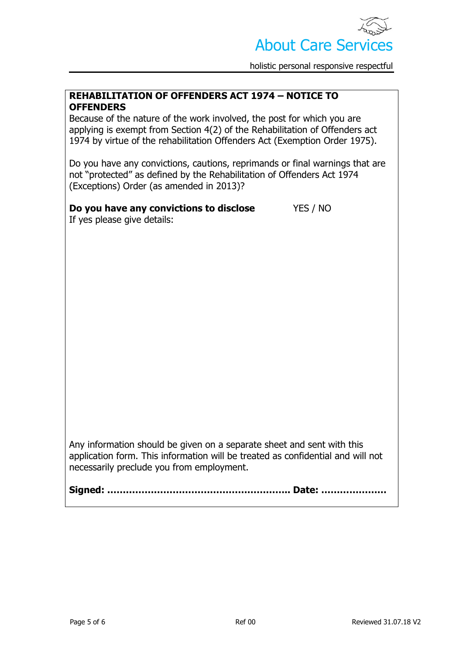

#### **REHABILITATION OF OFFENDERS ACT 1974 – NOTICE TO OFFENDERS**

Because of the nature of the work involved, the post for which you are applying is exempt from Section 4(2) of the Rehabilitation of Offenders act 1974 by virtue of the rehabilitation Offenders Act (Exemption Order 1975).

Do you have any convictions, cautions, reprimands or final warnings that are not "protected" as defined by the Rehabilitation of Offenders Act 1974 (Exceptions) Order (as amended in 2013)?

**Do you have any convictions to disclose** YES / NO If yes please give details:

Any information should be given on a separate sheet and sent with this application form. This information will be treated as confidential and will not necessarily preclude you from employment.

**Signed: ………………………………………………….. Date: …………………**